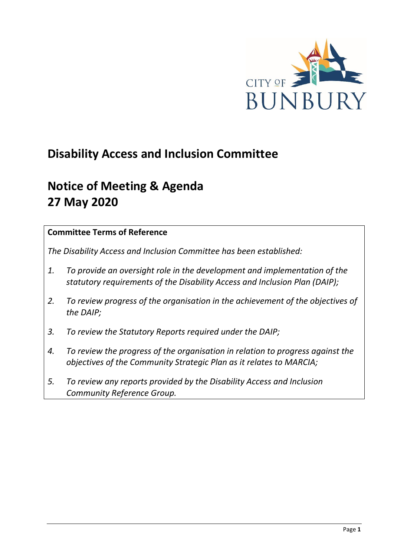

# **Disability Access and Inclusion Committee**

# **Notice of Meeting & Agenda 27 May 2020**

#### **Committee Terms of Reference**

*The Disability Access and Inclusion Committee has been established:* 

- *1. To provide an oversight role in the development and implementation of the statutory requirements of the Disability Access and Inclusion Plan (DAIP);*
- *2. To review progress of the organisation in the achievement of the objectives of the DAIP;*
- *3. To review the Statutory Reports required under the DAIP;*
- *4. To review the progress of the organisation in relation to progress against the objectives of the Community Strategic Plan as it relates to MARCIA;*
- *5. To review any reports provided by the Disability Access and Inclusion Community Reference Group.*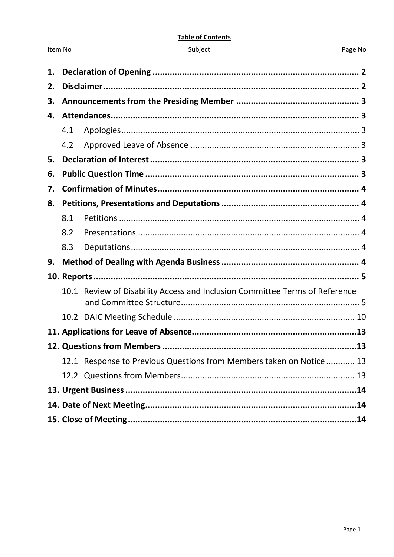#### **Table of Contents**

| ubie |  |
|------|--|
|      |  |
|      |  |

Item No

#### Page No

| 1. |     |                                                                             |  |
|----|-----|-----------------------------------------------------------------------------|--|
| 2. |     |                                                                             |  |
| 3. |     |                                                                             |  |
| 4. |     |                                                                             |  |
|    | 4.1 |                                                                             |  |
|    | 4.2 |                                                                             |  |
| 5. |     |                                                                             |  |
| 6. |     |                                                                             |  |
| 7. |     |                                                                             |  |
| 8. |     |                                                                             |  |
|    | 8.1 |                                                                             |  |
|    | 8.2 |                                                                             |  |
|    | 8.3 |                                                                             |  |
| 9. |     |                                                                             |  |
|    |     |                                                                             |  |
|    |     | 10.1 Review of Disability Access and Inclusion Committee Terms of Reference |  |
|    |     |                                                                             |  |
|    |     |                                                                             |  |
|    |     |                                                                             |  |
|    |     | 12.1 Response to Previous Questions from Members taken on Notice  13        |  |
|    |     |                                                                             |  |
|    |     |                                                                             |  |
|    |     |                                                                             |  |
|    |     |                                                                             |  |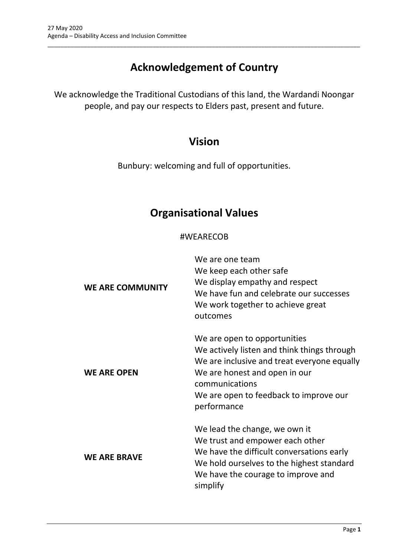# **Acknowledgement of Country**

\_\_\_\_\_\_\_\_\_\_\_\_\_\_\_\_\_\_\_\_\_\_\_\_\_\_\_\_\_\_\_\_\_\_\_\_\_\_\_\_\_\_\_\_\_\_\_\_\_\_\_\_\_\_\_\_\_\_\_\_\_\_\_\_\_\_\_\_\_\_\_\_\_\_\_\_\_\_\_\_\_\_\_\_\_\_\_\_\_\_\_\_\_\_\_

We acknowledge the Traditional Custodians of this land, the Wardandi Noongar people, and pay our respects to Elders past, present and future.

# **Vision**

Bunbury: welcoming and full of opportunities.

# **Organisational Values**

### #WEARECOB

| <b>WE ARE COMMUNITY</b> | We are one team<br>We keep each other safe<br>We display empathy and respect<br>We have fun and celebrate our successes<br>We work together to achieve great<br>outcomes                                                               |
|-------------------------|----------------------------------------------------------------------------------------------------------------------------------------------------------------------------------------------------------------------------------------|
| <b>WE ARE OPEN</b>      | We are open to opportunities<br>We actively listen and think things through<br>We are inclusive and treat everyone equally<br>We are honest and open in our<br>communications<br>We are open to feedback to improve our<br>performance |
| <b>WE ARE BRAVE</b>     | We lead the change, we own it<br>We trust and empower each other<br>We have the difficult conversations early<br>We hold ourselves to the highest standard<br>We have the courage to improve and<br>simplify                           |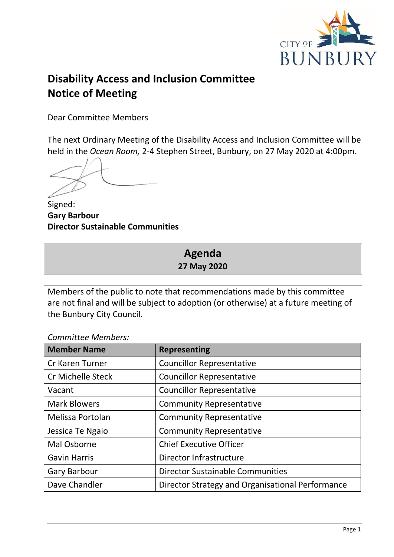

# **Disability Access and Inclusion Committee Notice of Meeting**

Dear Committee Members

The next Ordinary Meeting of the Disability Access and Inclusion Committee will be held in the *Ocean Room,* 2-4 Stephen Street, Bunbury, on 27 May 2020 at 4:00pm.

Signed: **Gary Barbour Director Sustainable Communities**

# **Agenda 27 May 2020**

Members of the public to note that recommendations made by this committee are not final and will be subject to adoption (or otherwise) at a future meeting of the Bunbury City Council.

*Committee Members:*

| <b>Member Name</b>       | <b>Representing</b>                              |
|--------------------------|--------------------------------------------------|
| <b>Cr Karen Turner</b>   | <b>Councillor Representative</b>                 |
| <b>Cr Michelle Steck</b> | <b>Councillor Representative</b>                 |
| Vacant                   | <b>Councillor Representative</b>                 |
| <b>Mark Blowers</b>      | <b>Community Representative</b>                  |
| Melissa Portolan         | <b>Community Representative</b>                  |
| Jessica Te Ngaio         | <b>Community Representative</b>                  |
| Mal Osborne              | <b>Chief Executive Officer</b>                   |
| <b>Gavin Harris</b>      | Director Infrastructure                          |
| <b>Gary Barbour</b>      | <b>Director Sustainable Communities</b>          |
| Dave Chandler            | Director Strategy and Organisational Performance |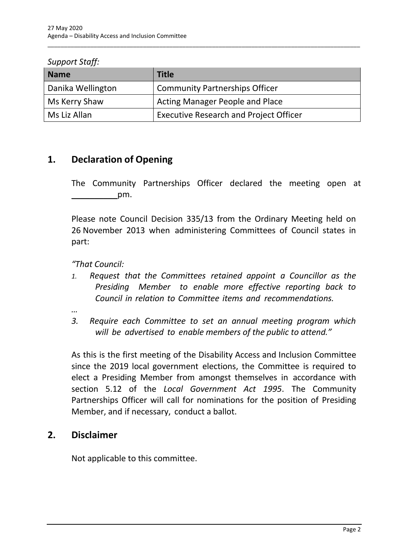| <b>Support Staff:</b> |  |
|-----------------------|--|
|-----------------------|--|

| <b>Name</b>       | <b>Title</b>                                  |
|-------------------|-----------------------------------------------|
| Danika Wellington | <b>Community Partnerships Officer</b>         |
| Ms Kerry Shaw     | <b>Acting Manager People and Place</b>        |
| Ms Liz Allan      | <b>Executive Research and Project Officer</b> |

\_\_\_\_\_\_\_\_\_\_\_\_\_\_\_\_\_\_\_\_\_\_\_\_\_\_\_\_\_\_\_\_\_\_\_\_\_\_\_\_\_\_\_\_\_\_\_\_\_\_\_\_\_\_\_\_\_\_\_\_\_\_\_\_\_\_\_\_\_\_\_\_\_\_\_\_\_\_\_\_\_\_\_\_\_\_\_\_\_\_\_\_\_\_\_

# <span id="page-4-0"></span>**1. Declaration of Opening**

The Community Partnerships Officer declared the meeting open at pm.

Please note Council Decision 335/13 from the Ordinary Meeting held on 26 November 2013 when administering Committees of Council states in part:

*"That Council:*

*1. Request that the Committees retained appoint a Councillor as the Presiding Member to enable more effective reporting back to Council in relation to Committee items and recommendations.*

*…*

*3. Require each Committee to set an annual meeting program which will be advertised to enable members of the public to attend."*

As this is the first meeting of the Disability Access and Inclusion Committee since the 2019 local government elections, the Committee is required to elect a Presiding Member from amongst themselves in accordance with section 5.12 of the *Local Government Act 1995*. The Community Partnerships Officer will call for nominations for the position of Presiding Member, and if necessary, conduct a ballot.

# <span id="page-4-1"></span>**2. Disclaimer**

Not applicable to this committee.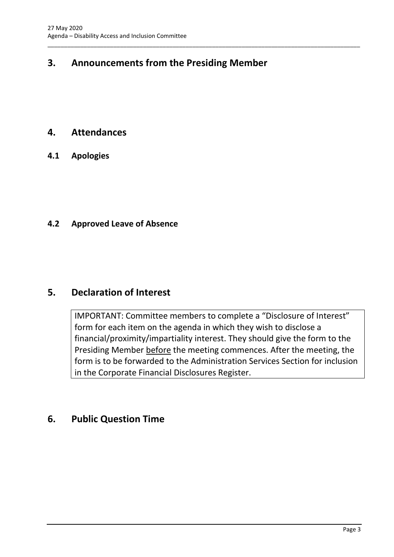# <span id="page-5-0"></span>**3. Announcements from the Presiding Member**

\_\_\_\_\_\_\_\_\_\_\_\_\_\_\_\_\_\_\_\_\_\_\_\_\_\_\_\_\_\_\_\_\_\_\_\_\_\_\_\_\_\_\_\_\_\_\_\_\_\_\_\_\_\_\_\_\_\_\_\_\_\_\_\_\_\_\_\_\_\_\_\_\_\_\_\_\_\_\_\_\_\_\_\_\_\_\_\_\_\_\_\_\_\_\_

## <span id="page-5-1"></span>**4. Attendances**

<span id="page-5-2"></span>**4.1 Apologies**

#### <span id="page-5-3"></span>**4.2 Approved Leave of Absence**

## <span id="page-5-4"></span>**5. Declaration of Interest**

IMPORTANT: Committee members to complete a "Disclosure of Interest" form for each item on the agenda in which they wish to disclose a financial/proximity/impartiality interest. They should give the form to the Presiding Member before the meeting commences. After the meeting, the form is to be forwarded to the Administration Services Section for inclusion in the Corporate Financial Disclosures Register.

# <span id="page-5-5"></span>**6. Public Question Time**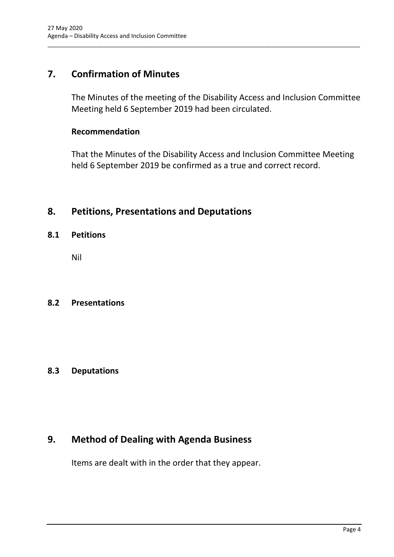# <span id="page-6-0"></span>**7. Confirmation of Minutes**

The Minutes of the meeting of the Disability Access and Inclusion Committee Meeting held 6 September 2019 had been circulated.

\_\_\_\_\_\_\_\_\_\_\_\_\_\_\_\_\_\_\_\_\_\_\_\_\_\_\_\_\_\_\_\_\_\_\_\_\_\_\_\_\_\_\_\_\_\_\_\_\_\_\_\_\_\_\_\_\_\_\_\_\_\_\_\_\_\_\_\_\_\_\_\_\_\_\_\_\_\_\_\_\_\_\_\_\_\_\_\_\_\_\_\_\_\_\_

#### **Recommendation**

That the Minutes of the Disability Access and Inclusion Committee Meeting held 6 September 2019 be confirmed as a true and correct record.

## <span id="page-6-1"></span>**8. Petitions, Presentations and Deputations**

#### <span id="page-6-2"></span>**8.1 Petitions**

Nil

#### <span id="page-6-3"></span>**8.2 Presentations**

#### <span id="page-6-4"></span>**8.3 Deputations**

# <span id="page-6-5"></span>**9. Method of Dealing with Agenda Business**

Items are dealt with in the order that they appear.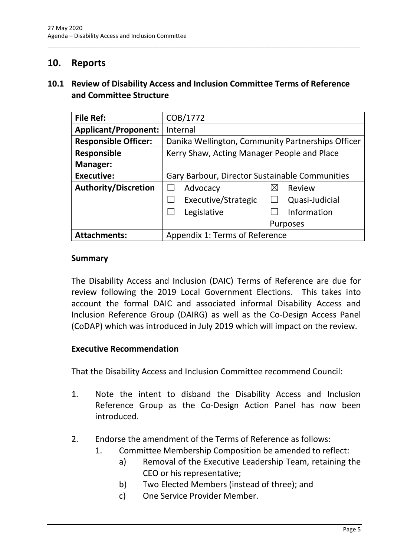## <span id="page-7-0"></span>**10. Reports**

#### <span id="page-7-1"></span>**10.1 Review of Disability Access and Inclusion Committee Terms of Reference and Committee Structure**

\_\_\_\_\_\_\_\_\_\_\_\_\_\_\_\_\_\_\_\_\_\_\_\_\_\_\_\_\_\_\_\_\_\_\_\_\_\_\_\_\_\_\_\_\_\_\_\_\_\_\_\_\_\_\_\_\_\_\_\_\_\_\_\_\_\_\_\_\_\_\_\_\_\_\_\_\_\_\_\_\_\_\_\_\_\_\_\_\_\_\_\_\_\_\_

| <b>File Ref:</b>            | COB/1772                                          |
|-----------------------------|---------------------------------------------------|
| <b>Applicant/Proponent:</b> | Internal                                          |
| <b>Responsible Officer:</b> | Danika Wellington, Community Partnerships Officer |
| <b>Responsible</b>          | Kerry Shaw, Acting Manager People and Place       |
| Manager:                    |                                                   |
| <b>Executive:</b>           | Gary Barbour, Director Sustainable Communities    |
| <b>Authority/Discretion</b> | Advocacy<br>Review<br>$\boxtimes$                 |
|                             | Executive/Strategic<br>Quasi-Judicial             |
|                             | Information<br>Legislative                        |
|                             | Purposes                                          |
| <b>Attachments:</b>         | Appendix 1: Terms of Reference                    |

#### **Summary**

The Disability Access and Inclusion (DAIC) Terms of Reference are due for review following the 2019 Local Government Elections. This takes into account the formal DAIC and associated informal Disability Access and Inclusion Reference Group (DAIRG) as well as the Co-Design Access Panel (CoDAP) which was introduced in July 2019 which will impact on the review.

#### **Executive Recommendation**

That the Disability Access and Inclusion Committee recommend Council:

- 1. Note the intent to disband the Disability Access and Inclusion Reference Group as the Co-Design Action Panel has now been introduced.
- 2. Endorse the amendment of the Terms of Reference as follows:
	- 1. Committee Membership Composition be amended to reflect:
		- a) Removal of the Executive Leadership Team, retaining the CEO or his representative;
		- b) Two Elected Members (instead of three); and
		- c) One Service Provider Member.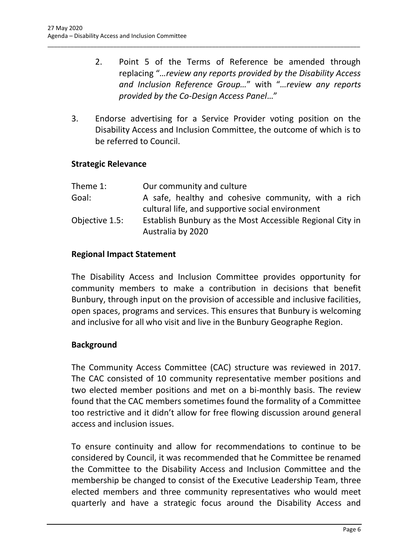- 2. Point 5 of the Terms of Reference be amended through replacing "*…review any reports provided by the Disability Access and Inclusion Reference Group…*" with "*…review any reports provided by the Co-Design Access Panel*…"
- 3. Endorse advertising for a Service Provider voting position on the Disability Access and Inclusion Committee, the outcome of which is to be referred to Council.

\_\_\_\_\_\_\_\_\_\_\_\_\_\_\_\_\_\_\_\_\_\_\_\_\_\_\_\_\_\_\_\_\_\_\_\_\_\_\_\_\_\_\_\_\_\_\_\_\_\_\_\_\_\_\_\_\_\_\_\_\_\_\_\_\_\_\_\_\_\_\_\_\_\_\_\_\_\_\_\_\_\_\_\_\_\_\_\_\_\_\_\_\_\_\_

#### **Strategic Relevance**

| Theme 1:       | Our community and culture                                 |
|----------------|-----------------------------------------------------------|
| Goal:          | A safe, healthy and cohesive community, with a rich       |
|                | cultural life, and supportive social environment          |
| Objective 1.5: | Establish Bunbury as the Most Accessible Regional City in |
|                | Australia by 2020                                         |

#### **Regional Impact Statement**

The Disability Access and Inclusion Committee provides opportunity for community members to make a contribution in decisions that benefit Bunbury, through input on the provision of accessible and inclusive facilities, open spaces, programs and services. This ensures that Bunbury is welcoming and inclusive for all who visit and live in the Bunbury Geographe Region.

#### **Background**

The Community Access Committee (CAC) structure was reviewed in 2017. The CAC consisted of 10 community representative member positions and two elected member positions and met on a bi-monthly basis. The review found that the CAC members sometimes found the formality of a Committee too restrictive and it didn't allow for free flowing discussion around general access and inclusion issues.

To ensure continuity and allow for recommendations to continue to be considered by Council, it was recommended that he Committee be renamed the Committee to the Disability Access and Inclusion Committee and the membership be changed to consist of the Executive Leadership Team, three elected members and three community representatives who would meet quarterly and have a strategic focus around the Disability Access and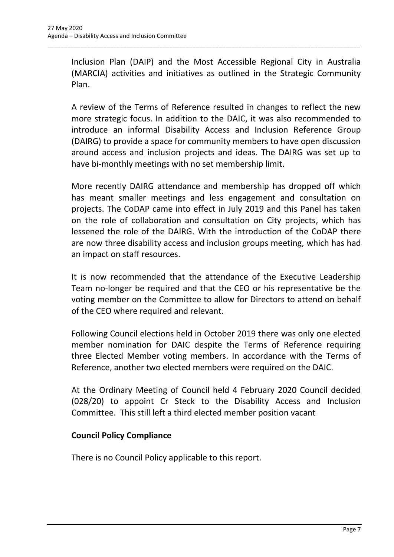Inclusion Plan (DAIP) and the Most Accessible Regional City in Australia (MARCIA) activities and initiatives as outlined in the Strategic Community Plan.

\_\_\_\_\_\_\_\_\_\_\_\_\_\_\_\_\_\_\_\_\_\_\_\_\_\_\_\_\_\_\_\_\_\_\_\_\_\_\_\_\_\_\_\_\_\_\_\_\_\_\_\_\_\_\_\_\_\_\_\_\_\_\_\_\_\_\_\_\_\_\_\_\_\_\_\_\_\_\_\_\_\_\_\_\_\_\_\_\_\_\_\_\_\_\_

A review of the Terms of Reference resulted in changes to reflect the new more strategic focus. In addition to the DAIC, it was also recommended to introduce an informal Disability Access and Inclusion Reference Group (DAIRG) to provide a space for community members to have open discussion around access and inclusion projects and ideas. The DAIRG was set up to have bi-monthly meetings with no set membership limit.

More recently DAIRG attendance and membership has dropped off which has meant smaller meetings and less engagement and consultation on projects. The CoDAP came into effect in July 2019 and this Panel has taken on the role of collaboration and consultation on City projects, which has lessened the role of the DAIRG. With the introduction of the CoDAP there are now three disability access and inclusion groups meeting, which has had an impact on staff resources.

It is now recommended that the attendance of the Executive Leadership Team no-longer be required and that the CEO or his representative be the voting member on the Committee to allow for Directors to attend on behalf of the CEO where required and relevant.

Following Council elections held in October 2019 there was only one elected member nomination for DAIC despite the Terms of Reference requiring three Elected Member voting members. In accordance with the Terms of Reference, another two elected members were required on the DAIC.

At the Ordinary Meeting of Council held 4 February 2020 Council decided (028/20) to appoint Cr Steck to the Disability Access and Inclusion Committee. This still left a third elected member position vacant

## **Council Policy Compliance**

There is no Council Policy applicable to this report.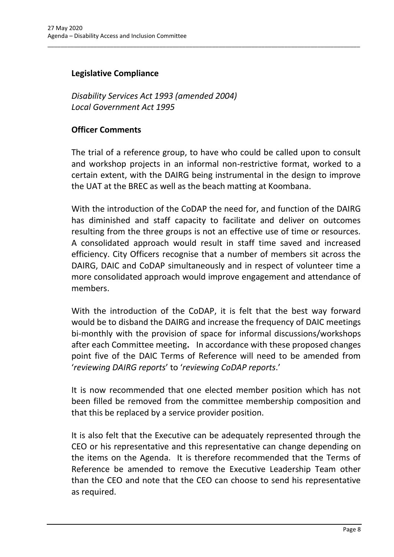### **Legislative Compliance**

*Disability Services Act 1993 (amended 2004) Local Government Act 1995*

#### **Officer Comments**

The trial of a reference group, to have who could be called upon to consult and workshop projects in an informal non-restrictive format, worked to a certain extent, with the DAIRG being instrumental in the design to improve the UAT at the BREC as well as the beach matting at Koombana.

\_\_\_\_\_\_\_\_\_\_\_\_\_\_\_\_\_\_\_\_\_\_\_\_\_\_\_\_\_\_\_\_\_\_\_\_\_\_\_\_\_\_\_\_\_\_\_\_\_\_\_\_\_\_\_\_\_\_\_\_\_\_\_\_\_\_\_\_\_\_\_\_\_\_\_\_\_\_\_\_\_\_\_\_\_\_\_\_\_\_\_\_\_\_\_

With the introduction of the CoDAP the need for, and function of the DAIRG has diminished and staff capacity to facilitate and deliver on outcomes resulting from the three groups is not an effective use of time or resources. A consolidated approach would result in staff time saved and increased efficiency. City Officers recognise that a number of members sit across the DAIRG, DAIC and CoDAP simultaneously and in respect of volunteer time a more consolidated approach would improve engagement and attendance of members.

With the introduction of the CoDAP, it is felt that the best way forward would be to disband the DAIRG and increase the frequency of DAIC meetings bi-monthly with the provision of space for informal discussions/workshops after each Committee meeting**.** In accordance with these proposed changes point five of the DAIC Terms of Reference will need to be amended from '*reviewing DAIRG reports*' to '*reviewing CoDAP reports*.'

It is now recommended that one elected member position which has not been filled be removed from the committee membership composition and that this be replaced by a service provider position.

It is also felt that the Executive can be adequately represented through the CEO or his representative and this representative can change depending on the items on the Agenda. It is therefore recommended that the Terms of Reference be amended to remove the Executive Leadership Team other than the CEO and note that the CEO can choose to send his representative as required.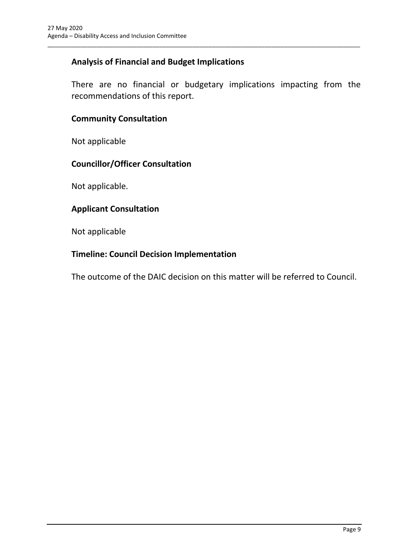### **Analysis of Financial and Budget Implications**

There are no financial or budgetary implications impacting from the recommendations of this report.

\_\_\_\_\_\_\_\_\_\_\_\_\_\_\_\_\_\_\_\_\_\_\_\_\_\_\_\_\_\_\_\_\_\_\_\_\_\_\_\_\_\_\_\_\_\_\_\_\_\_\_\_\_\_\_\_\_\_\_\_\_\_\_\_\_\_\_\_\_\_\_\_\_\_\_\_\_\_\_\_\_\_\_\_\_\_\_\_\_\_\_\_\_\_\_

#### **Community Consultation**

Not applicable

#### **Councillor/Officer Consultation**

Not applicable.

#### **Applicant Consultation**

Not applicable

### **Timeline: Council Decision Implementation**

The outcome of the DAIC decision on this matter will be referred to Council.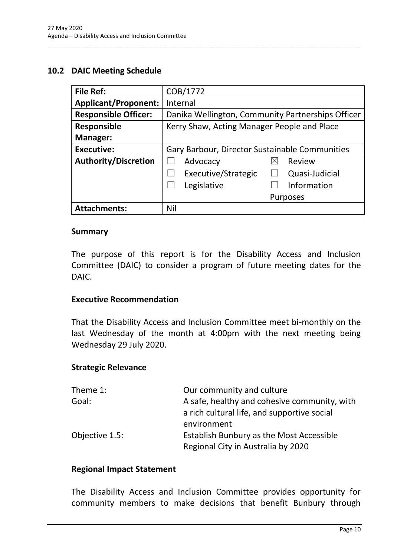#### <span id="page-12-0"></span>**10.2 DAIC Meeting Schedule**

| <b>File Ref:</b>            | COB/1772                                          |  |
|-----------------------------|---------------------------------------------------|--|
| <b>Applicant/Proponent:</b> | Internal                                          |  |
| <b>Responsible Officer:</b> | Danika Wellington, Community Partnerships Officer |  |
| <b>Responsible</b>          | Kerry Shaw, Acting Manager People and Place       |  |
| Manager:                    |                                                   |  |
| <b>Executive:</b>           | Gary Barbour, Director Sustainable Communities    |  |
| <b>Authority/Discretion</b> | Advocacy<br>Review<br>⋉                           |  |
|                             | Executive/Strategic<br>Quasi-Judicial             |  |
|                             | Information<br>Legislative                        |  |
|                             | <b>Purposes</b>                                   |  |
| <b>Attachments:</b>         | Nil                                               |  |

\_\_\_\_\_\_\_\_\_\_\_\_\_\_\_\_\_\_\_\_\_\_\_\_\_\_\_\_\_\_\_\_\_\_\_\_\_\_\_\_\_\_\_\_\_\_\_\_\_\_\_\_\_\_\_\_\_\_\_\_\_\_\_\_\_\_\_\_\_\_\_\_\_\_\_\_\_\_\_\_\_\_\_\_\_\_\_\_\_\_\_\_\_\_\_

#### **Summary**

The purpose of this report is for the Disability Access and Inclusion Committee (DAIC) to consider a program of future meeting dates for the DAIC.

#### **Executive Recommendation**

That the Disability Access and Inclusion Committee meet bi-monthly on the last Wednesday of the month at 4:00pm with the next meeting being Wednesday 29 July 2020.

#### **Strategic Relevance**

| Theme 1:       | Our community and culture                       |
|----------------|-------------------------------------------------|
| Goal:          | A safe, healthy and cohesive community, with    |
|                | a rich cultural life, and supportive social     |
|                | environment                                     |
| Objective 1.5: | <b>Establish Bunbury as the Most Accessible</b> |
|                | Regional City in Australia by 2020              |

#### **Regional Impact Statement**

The Disability Access and Inclusion Committee provides opportunity for community members to make decisions that benefit Bunbury through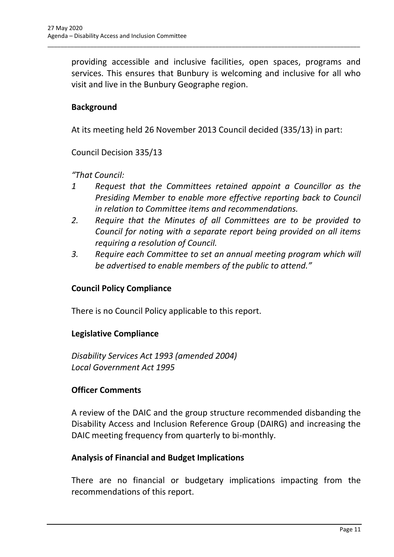providing accessible and inclusive facilities, open spaces, programs and services. This ensures that Bunbury is welcoming and inclusive for all who visit and live in the Bunbury Geographe region.

\_\_\_\_\_\_\_\_\_\_\_\_\_\_\_\_\_\_\_\_\_\_\_\_\_\_\_\_\_\_\_\_\_\_\_\_\_\_\_\_\_\_\_\_\_\_\_\_\_\_\_\_\_\_\_\_\_\_\_\_\_\_\_\_\_\_\_\_\_\_\_\_\_\_\_\_\_\_\_\_\_\_\_\_\_\_\_\_\_\_\_\_\_\_\_

### **Background**

At its meeting held 26 November 2013 Council decided (335/13) in part:

Council Decision 335/13

*"That Council:* 

- *1 Request that the Committees retained appoint a Councillor as the Presiding Member to enable more effective reporting back to Council in relation to Committee items and recommendations.*
- *2. Require that the Minutes of all Committees are to be provided to Council for noting with a separate report being provided on all items requiring a resolution of Council.*
- *3. Require each Committee to set an annual meeting program which will be advertised to enable members of the public to attend."*

#### **Council Policy Compliance**

There is no Council Policy applicable to this report.

#### **Legislative Compliance**

*Disability Services Act 1993 (amended 2004) Local Government Act 1995*

#### **Officer Comments**

A review of the DAIC and the group structure recommended disbanding the Disability Access and Inclusion Reference Group (DAIRG) and increasing the DAIC meeting frequency from quarterly to bi-monthly.

#### **Analysis of Financial and Budget Implications**

There are no financial or budgetary implications impacting from the recommendations of this report.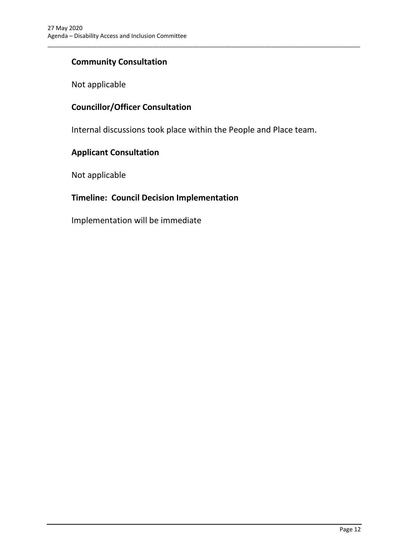### **Community Consultation**

Not applicable

### **Councillor/Officer Consultation**

Internal discussions took place within the People and Place team.

\_\_\_\_\_\_\_\_\_\_\_\_\_\_\_\_\_\_\_\_\_\_\_\_\_\_\_\_\_\_\_\_\_\_\_\_\_\_\_\_\_\_\_\_\_\_\_\_\_\_\_\_\_\_\_\_\_\_\_\_\_\_\_\_\_\_\_\_\_\_\_\_\_\_\_\_\_\_\_\_\_\_\_\_\_\_\_\_\_\_\_\_\_\_\_

#### **Applicant Consultation**

Not applicable

#### **Timeline: Council Decision Implementation**

Implementation will be immediate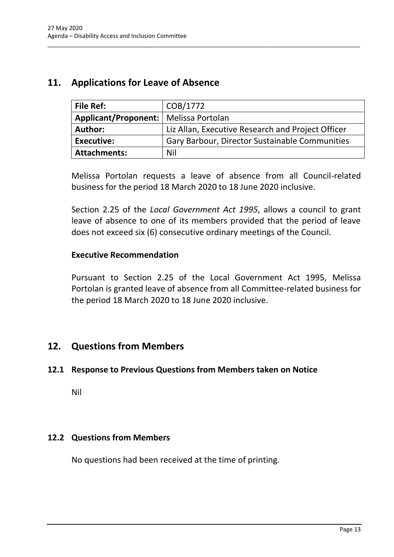## <span id="page-15-0"></span>**11. Applications for Leave of Absence**

| <b>File Ref:</b>                        | COB/1772                                          |
|-----------------------------------------|---------------------------------------------------|
| Applicant/Proponent:   Melissa Portolan |                                                   |
| <b>Author:</b>                          | Liz Allan, Executive Research and Project Officer |
| Executive:                              | Gary Barbour, Director Sustainable Communities    |
| <b>Attachments:</b>                     | Nil                                               |

\_\_\_\_\_\_\_\_\_\_\_\_\_\_\_\_\_\_\_\_\_\_\_\_\_\_\_\_\_\_\_\_\_\_\_\_\_\_\_\_\_\_\_\_\_\_\_\_\_\_\_\_\_\_\_\_\_\_\_\_\_\_\_\_\_\_\_\_\_\_\_\_\_\_\_\_\_\_\_\_\_\_\_\_\_\_\_\_\_\_\_\_\_\_\_

Melissa Portolan requests a leave of absence from all Council-related business for the period 18 March 2020 to 18 June 2020 inclusive.

Section 2.25 of the *Local Government Act 1995*, allows a council to grant leave of absence to one of its members provided that the period of leave does not exceed six (6) consecutive ordinary meetings of the Council.

#### **Executive Recommendation**

Pursuant to Section 2.25 of the Local Government Act 1995, Melissa Portolan is granted leave of absence from all Committee-related business for the period 18 March 2020 to 18 June 2020 inclusive.

# <span id="page-15-1"></span>**12. Questions from Members**

#### <span id="page-15-2"></span>**12.1 Response to Previous Questions from Members taken on Notice**

Nil

#### <span id="page-15-3"></span>**12.2 Questions from Members**

No questions had been received at the time of printing.